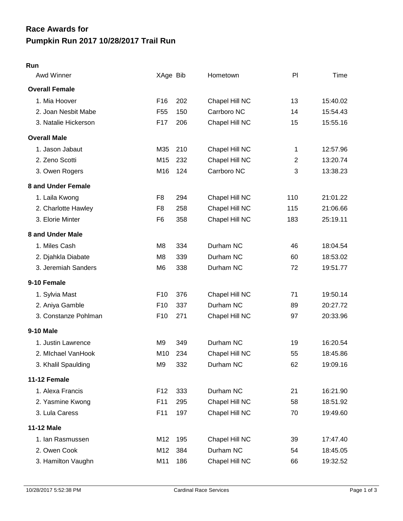## **Pumpkin Run 2017 10/28/2017 Trail Run Race Awards for**

## **Run**

| Awd Winner            | XAge Bib        |     | Hometown       | PI             | Time     |
|-----------------------|-----------------|-----|----------------|----------------|----------|
| <b>Overall Female</b> |                 |     |                |                |          |
| 1. Mia Hoover         | F <sub>16</sub> | 202 | Chapel Hill NC | 13             | 15:40.02 |
| 2. Joan Nesbit Mabe   | F <sub>55</sub> | 150 | Carrboro NC    | 14             | 15:54.43 |
| 3. Natalie Hickerson  | F17             | 206 | Chapel Hill NC | 15             | 15:55.16 |
| <b>Overall Male</b>   |                 |     |                |                |          |
| 1. Jason Jabaut       | M35             | 210 | Chapel Hill NC | 1              | 12:57.96 |
| 2. Zeno Scotti        | M15             | 232 | Chapel Hill NC | $\overline{2}$ | 13:20.74 |
| 3. Owen Rogers        | M16             | 124 | Carrboro NC    | 3              | 13:38.23 |
| 8 and Under Female    |                 |     |                |                |          |
| 1. Laila Kwong        | F <sub>8</sub>  | 294 | Chapel Hill NC | 110            | 21:01.22 |
| 2. Charlotte Hawley   | F <sub>8</sub>  | 258 | Chapel Hill NC | 115            | 21:06.66 |
| 3. Elorie Minter      | F <sub>6</sub>  | 358 | Chapel Hill NC | 183            | 25:19.11 |
| 8 and Under Male      |                 |     |                |                |          |
| 1. Miles Cash         | M8              | 334 | Durham NC      | 46             | 18:04.54 |
| 2. Djahkla Diabate    | M8              | 339 | Durham NC      | 60             | 18:53.02 |
| 3. Jeremiah Sanders   | M6              | 338 | Durham NC      | 72             | 19:51.77 |
| 9-10 Female           |                 |     |                |                |          |
| 1. Sylvia Mast        | F <sub>10</sub> | 376 | Chapel Hill NC | 71             | 19:50.14 |
| 2. Aniya Gamble       | F <sub>10</sub> | 337 | Durham NC      | 89             | 20:27.72 |
| 3. Constanze Pohlman  | F <sub>10</sub> | 271 | Chapel Hill NC | 97             | 20:33.96 |
| 9-10 Male             |                 |     |                |                |          |
| 1. Justin Lawrence    | M9              | 349 | Durham NC      | 19             | 16:20.54 |
| 2. Michael VanHook    | M10             | 234 | Chapel Hill NC | 55             | 18:45.86 |
| 3. Khalil Spaulding   | M9              | 332 | Durham NC      | 62             | 19:09.16 |
| 11-12 Female          |                 |     |                |                |          |
| 1. Alexa Francis      | F <sub>12</sub> | 333 | Durham NC      | 21             | 16:21.90 |
| 2. Yasmine Kwong      | F11             | 295 | Chapel Hill NC | 58             | 18:51.92 |
| 3. Lula Caress        | F11             | 197 | Chapel Hill NC | 70             | 19:49.60 |
| 11-12 Male            |                 |     |                |                |          |
| 1. Ian Rasmussen      | M12             | 195 | Chapel Hill NC | 39             | 17:47.40 |
| 2. Owen Cook          | M12             | 384 | Durham NC      | 54             | 18:45.05 |
| 3. Hamilton Vaughn    | M11             | 186 | Chapel Hill NC | 66             | 19:32.52 |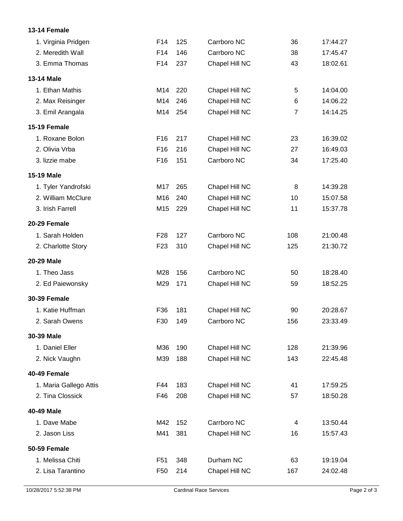## **13-14 Female**

| 1. Virginia Pridgen    | F14             | 125 | Carrboro NC    | 36             | 17:44.27 |
|------------------------|-----------------|-----|----------------|----------------|----------|
| 2. Meredith Wall       | F14             | 146 | Carrboro NC    | 38             | 17:45.47 |
| 3. Emma Thomas         | F14             | 237 | Chapel Hill NC | 43             | 18:02.61 |
| 13-14 Male             |                 |     |                |                |          |
| 1. Ethan Mathis        | M14             | 220 | Chapel Hill NC | 5              | 14:04.00 |
| 2. Max Reisinger       | M14             | 246 | Chapel Hill NC | 6              | 14:06.22 |
| 3. Emil Arangala       | M14             | 254 | Chapel Hill NC | $\overline{7}$ | 14:14.25 |
| 15-19 Female           |                 |     |                |                |          |
| 1. Roxane Bolon        | F <sub>16</sub> | 217 | Chapel Hill NC | 23             | 16:39.02 |
| 2. Olivia Vrba         | F <sub>16</sub> | 216 | Chapel Hill NC | 27             | 16:49.03 |
| 3. lizzie mabe         | F16             | 151 | Carrboro NC    | 34             | 17:25.40 |
| 15-19 Male             |                 |     |                |                |          |
| 1. Tyler Yandrofski    | M17             | 265 | Chapel Hill NC | 8              | 14:39.28 |
| 2. William McClure     | M16             | 240 | Chapel Hill NC | 10             | 15:07.58 |
| 3. Irish Farrell       | M15             | 229 | Chapel Hill NC | 11             | 15:37.78 |
| 20-29 Female           |                 |     |                |                |          |
| 1. Sarah Holden        | F <sub>28</sub> | 127 | Carrboro NC    | 108            | 21:00.48 |
| 2. Charlotte Story     | F <sub>23</sub> | 310 | Chapel Hill NC | 125            | 21:30.72 |
| 20-29 Male             |                 |     |                |                |          |
| 1. Theo Jass           | M28             | 156 | Carrboro NC    | 50             | 18:28.40 |
| 2. Ed Paiewonsky       | M29             | 171 | Chapel Hill NC | 59             | 18:52.25 |
| <b>30-39 Female</b>    |                 |     |                |                |          |
| 1. Katie Huffman       | F36             | 181 | Chapel Hill NC | 90             | 20:28.67 |
| 2. Sarah Owens         | F30             | 149 | Carrboro NC    | 156            | 23:33.49 |
| 30-39 Male             |                 |     |                |                |          |
| 1. Daniel Eller        | M36             | 190 | Chapel Hill NC | 128            | 21:39.96 |
| 2. Nick Vaughn         | M39             | 188 | Chapel Hill NC | 143            | 22:45.48 |
| 40-49 Female           |                 |     |                |                |          |
| 1. Maria Gallego Attis | F44             | 183 | Chapel Hill NC | 41             | 17:59.25 |
| 2. Tina Clossick       | F46             | 208 | Chapel Hill NC | 57             | 18:50.28 |
| 40-49 Male             |                 |     |                |                |          |
| 1. Dave Mabe           | M42             | 152 | Carrboro NC    | $\overline{4}$ | 13:50.44 |
| 2. Jason Liss          | M41             | 381 | Chapel Hill NC | 16             | 15:57.43 |
| <b>50-59 Female</b>    |                 |     |                |                |          |
| 1. Melissa Chiti       | F <sub>51</sub> | 348 | Durham NC      | 63             | 19:19.04 |
| 2. Lisa Tarantino      | F <sub>50</sub> | 214 | Chapel Hill NC | 167            | 24:02.48 |